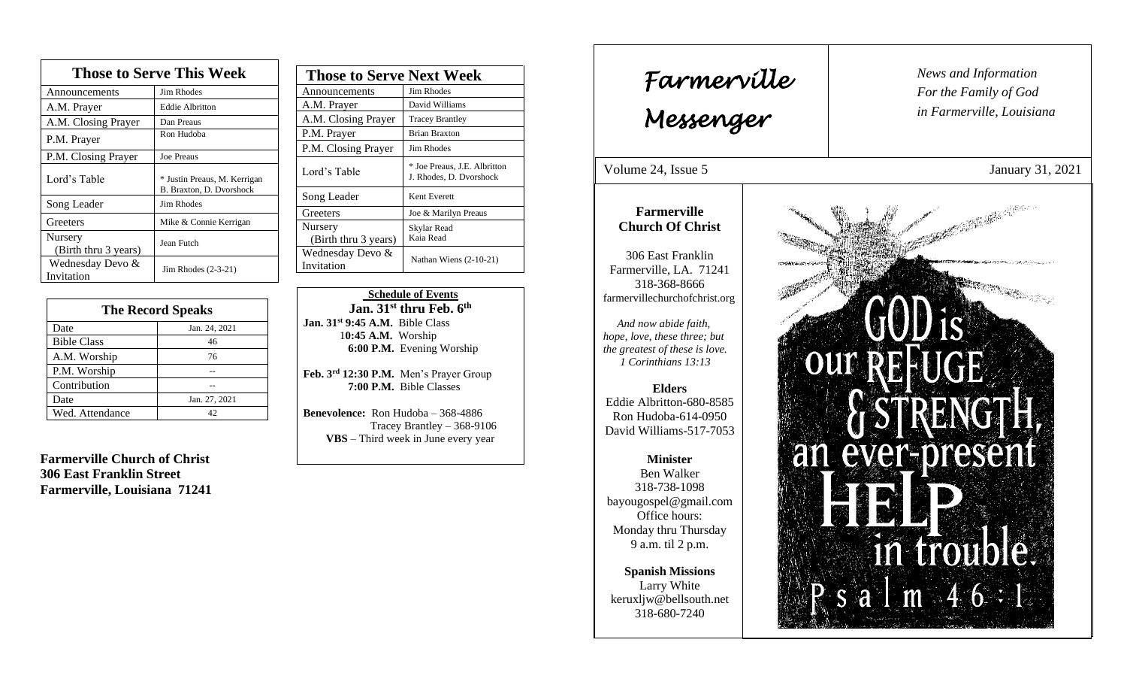| <b>Those to Serve This Week</b> |                                                          |
|---------------------------------|----------------------------------------------------------|
| Announcements                   | <b>Jim Rhodes</b>                                        |
| A.M. Prayer                     | <b>Eddie Albritton</b>                                   |
| A.M. Closing Prayer             | Dan Preaus                                               |
| P.M. Prayer                     | Ron Hudoba                                               |
| P.M. Closing Prayer             | <b>Joe Preaus</b>                                        |
| Lord's Table                    | * Justin Preaus, M. Kerrigan<br>B. Braxton, D. Dvorshock |
| Song Leader                     | Jim Rhodes                                               |
| Greeters                        | Mike & Connie Kerrigan                                   |
| Nursery<br>(Birth thru 3 years) | Jean Futch                                               |
| Wednesday Devo &<br>Invitation  | Jim Rhodes $(2-3-21)$                                    |

| <b>The Record Speaks</b> |               |
|--------------------------|---------------|
| Date                     | Jan. 24, 2021 |
| <b>Bible Class</b>       | 46            |
| A.M. Worship             | 76            |
| P.M. Worship             |               |
| Contribution             |               |
| Date                     | Jan. 27, 2021 |
| Wed. Attendance          |               |

**Farmerville Church of Christ 306 East Franklin Street Farmerville, Louisiana 71241**

| <b>Those to Serve Next Week</b> |                                                         |
|---------------------------------|---------------------------------------------------------|
| Announcements                   | Jim Rhodes                                              |
| A.M. Prayer                     | David Williams                                          |
| A.M. Closing Prayer             | <b>Tracey Brantley</b>                                  |
| P.M. Prayer                     | <b>Brian Braxton</b>                                    |
| P.M. Closing Prayer             | Jim Rhodes                                              |
| Lord's Table                    | * Joe Preaus, J.E. Albritton<br>J. Rhodes, D. Dvorshock |
| Song Leader                     | Kent Everett                                            |
| Greeters                        | Joe & Marilyn Preaus                                    |
| Nursery                         | Skylar Read                                             |
| (Birth thru 3 years)            | Kaia Read                                               |
| Wednesday Devo &<br>Invitation  | Nathan Wiens $(2-10-21)$                                |

 **Schedule of Events Jan. 31st thru Feb. 6 th Jan. 31st 9:45 A.M.** Bible Class 1**0:45 A.M.** Worship  **6:00 P.M.** Evening Worship

**Feb. 3rd 12:30 P.M.** Men's Prayer Group **7:00 P.M.** Bible Classes

**Benevolence:** Ron Hudoba – 368-4886 Tracey Brantley – 368-9106 **VBS** – Third week in June every year